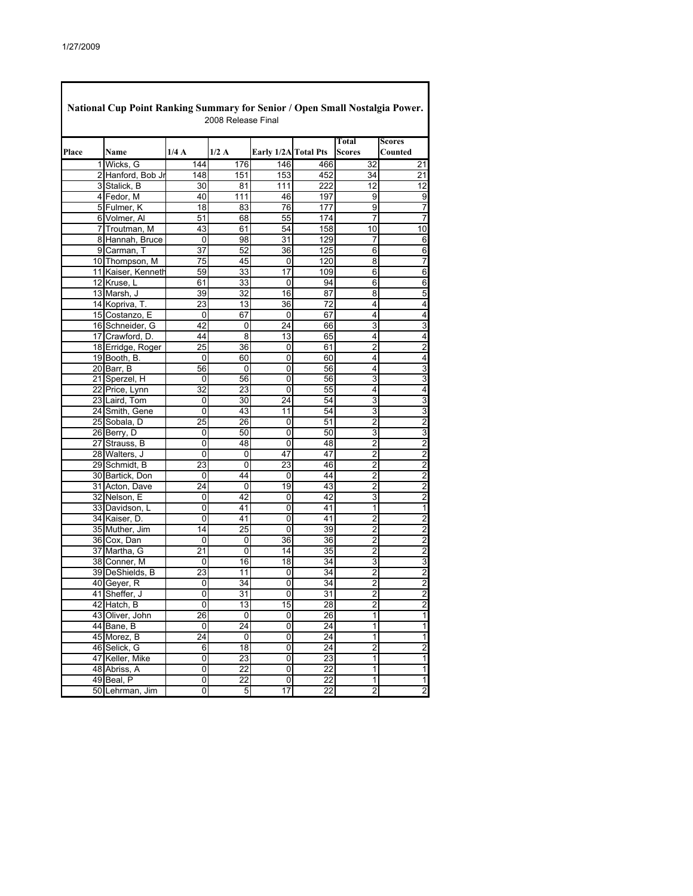| National Cup Point Ranking Summary for Senior / Open Small Nostalgia Power.<br>2008 Release Final |                            |      |                 |                      |                       |                         |                                                    |  |  |
|---------------------------------------------------------------------------------------------------|----------------------------|------|-----------------|----------------------|-----------------------|-------------------------|----------------------------------------------------|--|--|
| Place                                                                                             | Name                       | 1/4A | 1/2A            | Early 1/2A Total Pts |                       | Total<br>Scores         | <b>Scores</b><br>Counted                           |  |  |
|                                                                                                   | 1 Wicks, G                 | 144  | 176             | 146                  | 466                   | 32                      | 21                                                 |  |  |
|                                                                                                   | 2 Hanford, Bob Jr          | 148  | 151             | 153                  | 452                   | 34                      | 21                                                 |  |  |
|                                                                                                   | 3 Stalick, B               | 30   | 81              | 111                  | 222                   | 12                      | 12                                                 |  |  |
|                                                                                                   | 4 Fedor, M                 | 40   | 111             | 46                   | 197                   | 9                       | $\overline{9}$                                     |  |  |
|                                                                                                   | 5 Fulmer, K                | 18   | 83              | 76                   | 177                   | 9                       | $\overline{7}$                                     |  |  |
|                                                                                                   | 6 Volmer, Al               | 51   | 68              | 55                   | 174                   | 7                       | 7                                                  |  |  |
|                                                                                                   | 7 Troutman, M              | 43   | 61              | 54                   | 158                   | 10                      | 10                                                 |  |  |
|                                                                                                   | 8 Hannah, Bruce            | 0    | 98              | 31                   | 129                   | 7                       | 6                                                  |  |  |
|                                                                                                   | 9 Carman, T                | 37   | 52              | 36                   | 125                   | 6                       | 6                                                  |  |  |
|                                                                                                   | 10 Thompson, M             | 75   | 45              | 0                    | 120                   | 8                       | 7                                                  |  |  |
|                                                                                                   | 11 Kaiser, Kenneth         | 59   | 33              | 17                   | 109                   | 6                       | 6                                                  |  |  |
|                                                                                                   | 12 Kruse, L                | 61   | 33              | 0                    | 94                    | 6                       | 6                                                  |  |  |
|                                                                                                   | 13 Marsh, J                | 39   | 32              | 16                   | 87                    | 8                       | 5                                                  |  |  |
|                                                                                                   | 14 Kopriva, T.             | 23   | 13              | 36                   | 72                    | 4                       | $\overline{\mathbf{4}}$                            |  |  |
|                                                                                                   | 15 Costanzo, E             | 0    | 67              | 0                    | 67                    | 4                       | 4                                                  |  |  |
|                                                                                                   | 16 Schneider, G            | 42   | 0               | 24                   | 66                    | 3                       | 3                                                  |  |  |
|                                                                                                   | 17 Crawford, D.            | 44   | 8               | 13                   | 65                    | 4                       | 4                                                  |  |  |
|                                                                                                   | 18 Erridge, Roger          | 25   | 36              | 0                    | 61                    | $\overline{2}$          | $\overline{2}$                                     |  |  |
|                                                                                                   | 19 Booth, B.               | 0    | 60              | 0                    | 60                    | 4                       | 4                                                  |  |  |
|                                                                                                   | 20 Barr, B                 | 56   | 0               | 0                    | 56                    | 4                       | 3                                                  |  |  |
|                                                                                                   | 21 Sperzel, H              | 0    | 56              | 0                    | 56                    | 3                       | 3                                                  |  |  |
|                                                                                                   | 22 Price, Lynn             | 32   | 23              | 0                    | 55                    | 4                       | 4                                                  |  |  |
|                                                                                                   | 23 Laird, Tom              | 0    | 30              | 24                   | 54                    | 3                       | $\overline{3}$                                     |  |  |
|                                                                                                   | 24 Smith, Gene             | 0    | 43              | 11                   | 54                    | 3                       | 3                                                  |  |  |
|                                                                                                   | 25 Sobala, D               | 25   | 26              | 0                    | 51                    | $\overline{2}$          | $\overline{2}$                                     |  |  |
|                                                                                                   | 26 Berry, D                | 0    | 50              | 0                    | 50                    | 3                       | $\overline{3}$                                     |  |  |
|                                                                                                   | 27 Strauss, B              | 0    | 48              | 0                    | 48                    | 2                       | $\overline{2}$                                     |  |  |
|                                                                                                   | 28 Walters, J              | 0    | 0               | 47                   | 47                    | $\overline{2}$          | 2                                                  |  |  |
|                                                                                                   | 29 Schmidt, B              | 23   | 0               | 23                   | 46                    | 2                       | $\overline{2}$                                     |  |  |
|                                                                                                   | 30 Bartick, Don            | 0    | 44              | 0                    | 44                    | $\overline{2}$          | $\overline{2}$                                     |  |  |
|                                                                                                   | 31 Acton, Dave             | 24   | 0               | 19                   | 43                    | $\overline{c}$          | 2                                                  |  |  |
|                                                                                                   | 32 Nelson, E               | 0    | 42              | 0                    | 42                    | 3                       | $\overline{2}$                                     |  |  |
|                                                                                                   | 33 Davidson, L             | 0    | 41              | 0                    | 41                    | 1                       | $\overline{1}$                                     |  |  |
|                                                                                                   | 34 Kaiser, D.              | 0    | 41              | 0                    | 41                    | 2                       | $\overline{2}$                                     |  |  |
|                                                                                                   | 35 Muther, Jim             | 14   | 25              | 0                    | 39                    | $\overline{2}$          | $\overline{c}$                                     |  |  |
|                                                                                                   | 36 Cox, Dan                | 0    | 0               | 36                   | 36                    | 2                       | $\overline{2}$                                     |  |  |
|                                                                                                   | 37 Martha, G               | 21   | 0               | 14                   | 35                    | $\overline{2}$          | $\overline{\mathbf{c}}$                            |  |  |
|                                                                                                   | 38 Conner, M               | 0    | 16              | 18                   | 34                    | 3                       | $\overline{3}$                                     |  |  |
|                                                                                                   | 39 DeShields, B            | 23   | 11              | 0                    | 34                    | 2                       | $\overline{2}$                                     |  |  |
|                                                                                                   | 40 Geyer, R                | 0    | 34              | 0                    | 34                    | $\overline{2}$          | $\overline{\mathbf{c}}$                            |  |  |
|                                                                                                   | 41 Sheffer, J              | 0    | 31              | $\overline{0}$       | 31                    | 2                       | $\overline{2}$                                     |  |  |
|                                                                                                   | 42 Hatch, B                | 0    | 13              | 15                   | 28                    | 2                       | $\overline{c}$                                     |  |  |
|                                                                                                   | 43 Oliver, John            | 26   | $\pmb{0}$       | 0                    | 26                    | $\overline{1}$          | $\overline{\mathbf{1}}$                            |  |  |
|                                                                                                   |                            |      | 24              | 0                    | 24                    | 1                       | 1                                                  |  |  |
|                                                                                                   | 44 Bane, B<br>45 Morez, B  | 0    |                 | 0                    | 24                    | 1                       | $\overline{1}$                                     |  |  |
|                                                                                                   |                            | 24   | 0               |                      |                       |                         |                                                    |  |  |
|                                                                                                   | 46 Selick, G               | 6    | 18              | 0                    | 24                    | $\overline{2}$          | $\overline{2}$<br>$\overline{\mathbf{1}}$          |  |  |
|                                                                                                   | 47 Keller, Mike            | 0    | 23              | 0                    | 23                    | 1                       |                                                    |  |  |
|                                                                                                   | 48 Abriss, A<br>49 Beal, P | 0    | 22              | 0                    | 22<br>$\overline{22}$ | 1<br>$\overline{1}$     | $\overline{\mathbf{1}}$<br>$\overline{\mathbf{1}}$ |  |  |
|                                                                                                   |                            | 0    | $\overline{22}$ | $\overline{0}$       |                       |                         |                                                    |  |  |
|                                                                                                   | 50 Lehrman, Jim            | 0    | 5               | $\overline{17}$      | $\overline{22}$       | $\overline{\mathbf{c}}$ | $\overline{2}$                                     |  |  |

٦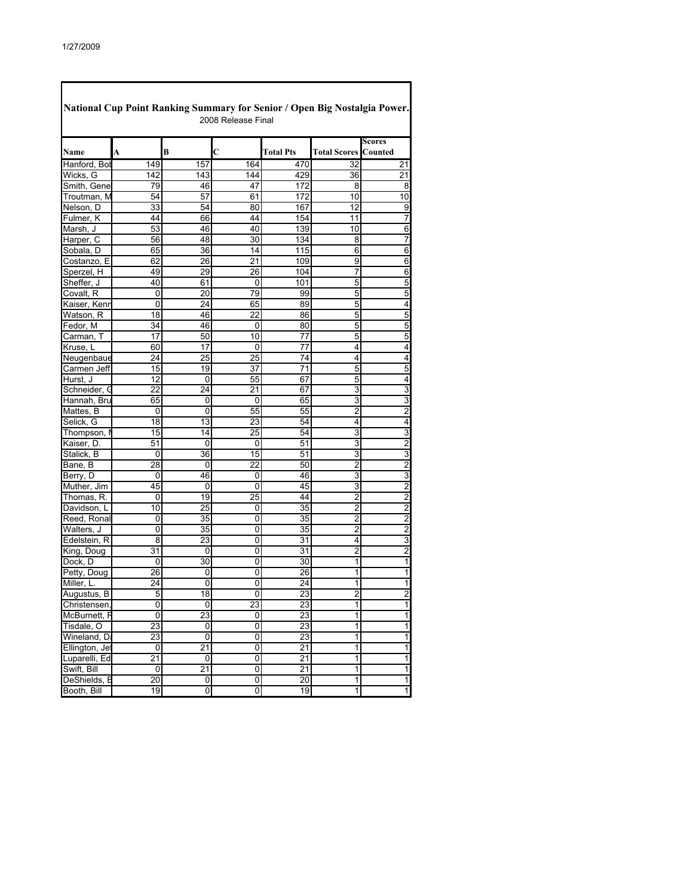| National Cup Point Ranking Summary for Senior / Open Big Nostalgia Power.<br>2008 Release Final |         |                 |        |                  |                     |                         |  |  |  |  |  |
|-------------------------------------------------------------------------------------------------|---------|-----------------|--------|------------------|---------------------|-------------------------|--|--|--|--|--|
| Name                                                                                            | A       | B               | C      | <b>Total Pts</b> | <b>Total Scores</b> | Scores<br>Counted       |  |  |  |  |  |
| Hanford, Bol                                                                                    | 149     | 157             | 164    | 470              | 32                  | 21                      |  |  |  |  |  |
| Wicks, G                                                                                        | 142     | 143             | 144    | 429              | 36                  | 21                      |  |  |  |  |  |
| Smith, Gene                                                                                     | 79      | 46              | 47     | 172              | 8                   | 8                       |  |  |  |  |  |
| Troutman, M                                                                                     | 54      | 57              | 61     | 172              | 10                  | 10                      |  |  |  |  |  |
| Nelson, D                                                                                       | 33      | 54              | 80     | 167              | 12                  | 9                       |  |  |  |  |  |
| Fulmer, K                                                                                       | 44      | 66              | 44     | 154              | 11                  | 7                       |  |  |  |  |  |
| Marsh, J                                                                                        | 53      | 46              | 40     | 139              | 10                  | 6                       |  |  |  |  |  |
| Harper, C                                                                                       | 56      | 48              | 30     | 134              | 8                   | 7                       |  |  |  |  |  |
| Sobala, D                                                                                       | 65      | 36              | 14     | 115              | 6                   | 6                       |  |  |  |  |  |
| Costanzo, E                                                                                     | 62      | 26              | 21     | 109              | 9                   | 6                       |  |  |  |  |  |
| Sperzel, H                                                                                      | 49      | 29              | 26     | 104              | 7                   | 6                       |  |  |  |  |  |
| Sheffer, J                                                                                      | 40      | 61              | 0      | 101              | 5                   | 5                       |  |  |  |  |  |
| Covalt, R                                                                                       | 0       | 20              | 79     | 99               | 5                   | 5                       |  |  |  |  |  |
| Kaiser, Kenr                                                                                    | 0       | 24              | 65     | 89               | 5                   | 4                       |  |  |  |  |  |
| Watson, R                                                                                       | 18      | 46              | 22     | 86               | 5                   | 5                       |  |  |  |  |  |
| Fedor, M                                                                                        | 34      | 46              | 0      | 80               | 5                   | 5                       |  |  |  |  |  |
| Carman, T                                                                                       | 17      | 50              | 10     | 77               | 5                   | 5                       |  |  |  |  |  |
| Kruse, L                                                                                        | 60      | 17              | 0      | 77               | 4                   | 4                       |  |  |  |  |  |
| Neugenbaue                                                                                      | 24      | 25              | 25     | 74               | 4                   | 4                       |  |  |  |  |  |
| Carmen Jeff                                                                                     | 15      | 19              | 37     | 71               | 5                   | 5                       |  |  |  |  |  |
| Hurst, J                                                                                        | 12      | 0               | 55     | 67               | 5                   | 4                       |  |  |  |  |  |
| Schneider, C                                                                                    | 22      | 24              | 21     | 67               | 3                   | 3                       |  |  |  |  |  |
| Hannah, Bru                                                                                     | 65      | 0               | 0      | 65               | 3                   | 3                       |  |  |  |  |  |
| Mattes, B                                                                                       | 0       | 0               | 55     | 55               | 2                   | $\overline{c}$          |  |  |  |  |  |
| Selick, G                                                                                       | 18      | 13              | 23     | 54               | 4                   | 4                       |  |  |  |  |  |
| Thompson,                                                                                       | 15      | 14              | 25     | 54               | 3                   | 3                       |  |  |  |  |  |
| Kaiser, D.                                                                                      | 51      | 0               | 0      | 51               | 3                   | $\overline{2}$          |  |  |  |  |  |
| Stalick, B                                                                                      | 0       | 36              | 15     | 51               | 3                   | 3                       |  |  |  |  |  |
| Bane, B                                                                                         | 28      | 0               | 22     | 50               | $\overline{c}$      | $\overline{\mathbf{c}}$ |  |  |  |  |  |
| Berry, D                                                                                        | 0       | 46              | 0      | 46               | 3                   | 3                       |  |  |  |  |  |
| Muther, Jim                                                                                     | 45      | 0               | 0      | 45               | 3                   | $\overline{2}$          |  |  |  |  |  |
| Thomas, R.                                                                                      | 0       | 19              | 25     | 44               | $\overline{2}$      | $\overline{2}$          |  |  |  |  |  |
| Davidson, L                                                                                     | 10      | 25              | 0      | 35               | 2                   | $\overline{\mathbf{c}}$ |  |  |  |  |  |
| Reed, Ronal                                                                                     | 0       | 35              | 0      | 35               | 2                   | $\overline{2}$          |  |  |  |  |  |
| Walters, J                                                                                      | 0       | 35              | 0      | 35               | $\overline{2}$      | $\overline{2}$          |  |  |  |  |  |
| Edelstein, R                                                                                    | 8       | 23              | 0      | 31               | 4                   | 3                       |  |  |  |  |  |
| King, Doug                                                                                      | 31      | 0               | 0      | 31               | $\overline{2}$      | $\overline{2}$          |  |  |  |  |  |
| Dock, D                                                                                         | 0       | 30              | 0      | 30               | 1                   | 1                       |  |  |  |  |  |
| Petty, Doug                                                                                     | 26      | 0               | 0      | 26               | 1                   | 1                       |  |  |  |  |  |
| Miller, L.                                                                                      | 24      | 0               | 0      | 24               | 1                   | 1                       |  |  |  |  |  |
| Augustus, B                                                                                     | 5       | 18              | 0      | 23               | 2                   | 2                       |  |  |  |  |  |
| Christensen,                                                                                    | 0       | 0               | 23     | 23               | 1                   | 1                       |  |  |  |  |  |
| McBurnett, F                                                                                    | 0       | 23              | 0      | 23               | 1                   | 1                       |  |  |  |  |  |
| Tisdale, O                                                                                      | 23      | 0               | 0      | 23               | 1                   | 1                       |  |  |  |  |  |
| Wineland, Da                                                                                    | 23      | 0               |        | 23               | 1                   | 1                       |  |  |  |  |  |
|                                                                                                 |         | $\overline{21}$ | 0<br>0 | 21               | 1                   | 1                       |  |  |  |  |  |
| Ellington, Jet<br>Luparelli, Ed                                                                 | 0<br>21 |                 | 0      | $\overline{21}$  | 1                   | $\overline{1}$          |  |  |  |  |  |
| Swift, Bill                                                                                     |         | 0<br>21         |        | 21               | 1                   | $\overline{\mathbf{1}}$ |  |  |  |  |  |
|                                                                                                 | 0<br>20 |                 | 0<br>0 | 20               | 1                   | $\overline{\mathbf{1}}$ |  |  |  |  |  |
| DeShields, B<br>Booth, Bill                                                                     |         | 0               |        |                  |                     |                         |  |  |  |  |  |
|                                                                                                 | 19      | 0               | o      | 19               | 1                   | $1\vert$                |  |  |  |  |  |

ī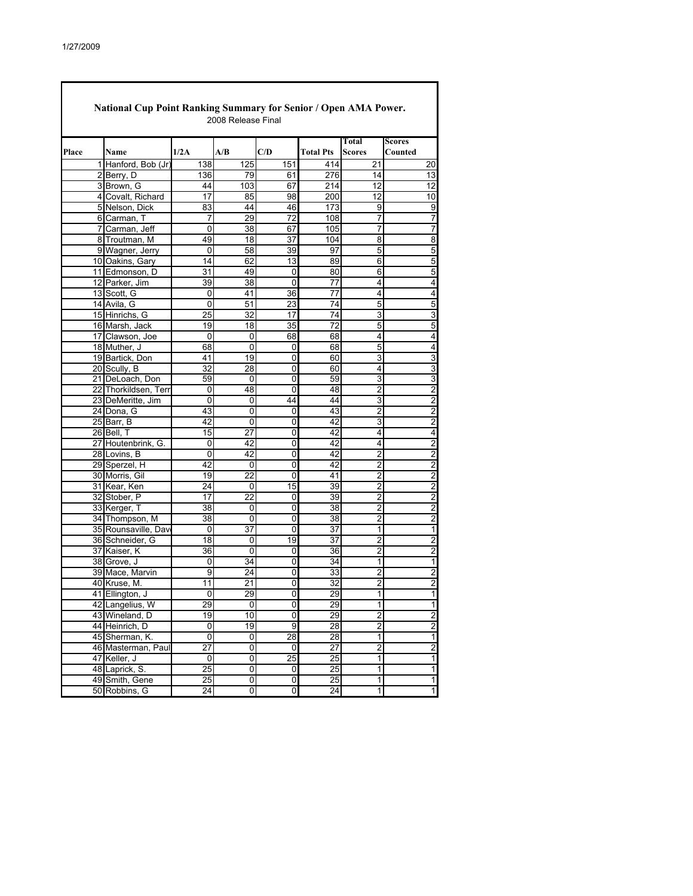|       | <b>National Cup Point Ranking Summary for Senior / Open AMA Power.</b> |                 | 2008 Release Final      |           |                  |                        |                          |
|-------|------------------------------------------------------------------------|-----------------|-------------------------|-----------|------------------|------------------------|--------------------------|
| Place | Name                                                                   | 1/2A            | A/B                     | C/D       | <b>Total Pts</b> | Total<br><b>Scores</b> | <b>Scores</b><br>Counted |
|       | 1 Hanford, Bob (Jr)                                                    | 138             | 125                     | 151       | 414              | 21                     | 20                       |
|       | 2 Berry, D                                                             | 136             | 79                      | 61        | 276              | 14                     | 13                       |
|       | 3 Brown, G                                                             | 44              | 103                     | 67        | 214              | 12                     | 12                       |
|       | 4 Covalt, Richard                                                      | 17              | 85                      | 98        | 200              | $\overline{12}$        | 10                       |
|       | 5 Nelson, Dick                                                         | 83              | 44                      | 46        | 173              | 9                      | 9                        |
|       | 6 Carman, T                                                            | 7               | 29                      | 72        | 108              | 7                      | 7                        |
|       | 7 Carman, Jeff                                                         | 0               | 38                      | 67        | 105              | 7                      | 7                        |
|       | 8 Troutman, M                                                          | 49              | 18                      | 37        | 104              | 8                      | 8                        |
|       | 9 Wagner, Jerry                                                        | 0               | 58                      | 39        | 97               | 5                      | 5                        |
|       | 10 Oakins, Gary                                                        | 14              | 62                      | 13        | 89               | 6                      | 5                        |
|       | 11 Edmonson, D                                                         | 31              | 49                      | 0         | 80               | 6                      | 5                        |
|       | 12 Parker, Jim                                                         | 39              | 38                      | 0         | 77               | 4                      | 4                        |
|       | 13 Scott, G                                                            | 0               | 41                      | 36        | 77               | 4                      | 4                        |
|       | 14 Avila, G                                                            | 0               | 51                      | 23        | 74               | 5                      | 5                        |
|       | 15 Hinrichs, G                                                         | 25              | 32                      | 17        | 74               | 3                      | 3                        |
|       | 16 Marsh, Jack                                                         | 19              | 18                      | 35        | $\overline{72}$  | 5                      | 5                        |
|       | 17 Clawson, Joe                                                        | 0               | 0                       | 68        | 68               | 4                      | 4                        |
|       | 18 Muther, J                                                           | 68              | 0                       | 0         | 68               | 5                      | 4                        |
|       | 19 Bartick, Don                                                        | 41              | 19                      | 0         | 60               | 3                      | 3                        |
|       |                                                                        |                 |                         |           |                  |                        |                          |
|       | 20 Scully, B<br>21 DeLoach, Don                                        | 32              | 28<br>0                 | 0<br>0    | 60<br>59         | 4                      | 3                        |
|       | 22 Thorkildsen, Terr                                                   | 59              |                         | 0         |                  | 3                      | 3                        |
|       |                                                                        | 0               | 48                      |           | 48               | 2                      | $\overline{2}$           |
|       | 23 DeMeritte, Jim                                                      | 0               | 0                       | 44        | 44               | 3                      | $\overline{2}$           |
|       | 24 Dona, G                                                             | 43              | 0                       | 0         | 43               | 2                      | 2                        |
|       | 25 Barr, B                                                             | 42              | 0                       | 0         | 42               | 3                      | 2                        |
|       | 26 Bell, T                                                             | 15              | $\overline{27}$         | 0         | 42               | 4                      | 4                        |
|       | 27 Houtenbrink, G.                                                     | 0               | 42                      | 0         | 42               | 4                      | $\overline{\mathbf{c}}$  |
|       | 28 Lovins, B                                                           | 0               | 42                      | 0         | 42               | $\overline{2}$         | $\overline{2}$           |
|       | 29 Sperzel, H                                                          | 42              | 0                       | 0         | 42               | $\overline{2}$         | 2                        |
|       | 30 Morris, Gil                                                         | 19              | 22                      | 0         | 41               | 2                      | $\overline{2}$           |
|       | 31 Kear, Ken                                                           | 24              | 0                       | 15        | 39               | $\overline{2}$         | 2                        |
|       | 32 Stober, P                                                           | 17              | 22                      | 0         | 39               | 2                      | $\overline{\mathbf{c}}$  |
|       | 33 Kerger, T                                                           | 38              | 0                       | 0         | 38               | 2                      | $\overline{c}$           |
|       | 34 Thompson, M                                                         | 38              | 0                       | 0         | 38               | 2                      | $\overline{2}$           |
|       | 35 Rounsaville, Dav                                                    | 0               | 37                      | 0         | 37               | 1                      | 1                        |
|       | 36 Schneider, G                                                        | 18              | 0                       | 19        | 37               | 2                      | 2                        |
|       | 37 Kaiser, K                                                           | 36              | 0                       | 0         | 36               | 2                      | $\overline{c}$           |
|       | 38 Grove, J                                                            | 0               | 34                      | 0         | 34               | 1                      | 1                        |
|       | 39 Mace, Marvin                                                        | 9               | 24                      | 0         | 33               | 2                      | $\overline{\mathbf{c}}$  |
|       | 40 Kruse, M.                                                           | 11              | 21                      | 0         | 32               | $\overline{2}$         | $\overline{2}$           |
|       | 41 Ellington, J                                                        | 0               | 29                      | 0         | 29               | 1                      | 1                        |
|       | 42 Langelius, W                                                        | 29              | U                       | U         | 29               | 1                      |                          |
|       | 43 Wineland, D                                                         | $\overline{19}$ | 10                      | 0         | 29               | $\overline{2}$         | $\overline{2}$           |
|       | 44 Heinrich, D                                                         | 0               | 19                      | 9         | 28               | $\overline{2}$         | $\overline{2}$           |
|       | 45 Sherman, K.                                                         | 0               | 0                       | 28        | 28               | $\overline{1}$         | $\overline{1}$           |
|       | 46 Masterman, Paul                                                     | 27              | 0                       | $\pmb{0}$ | 27               | 2                      | $\overline{c}$           |
|       | 47 Keller, J                                                           | 0               | $\overline{\mathbf{0}}$ | 25        | 25               | 1                      | 1                        |
|       | 48 Laprick, S.                                                         | $\overline{25}$ | $\overline{0}$          | 0         | 25               | $\overline{1}$         | 1                        |
|       | 49 Smith, Gene                                                         | 25              | O                       | 0         | 25               | $\mathbf{1}$           | 1                        |
|       | 50 Robbins, G                                                          | 24              | 0                       | 0         | 24               | 1                      | $\overline{\mathbf{1}}$  |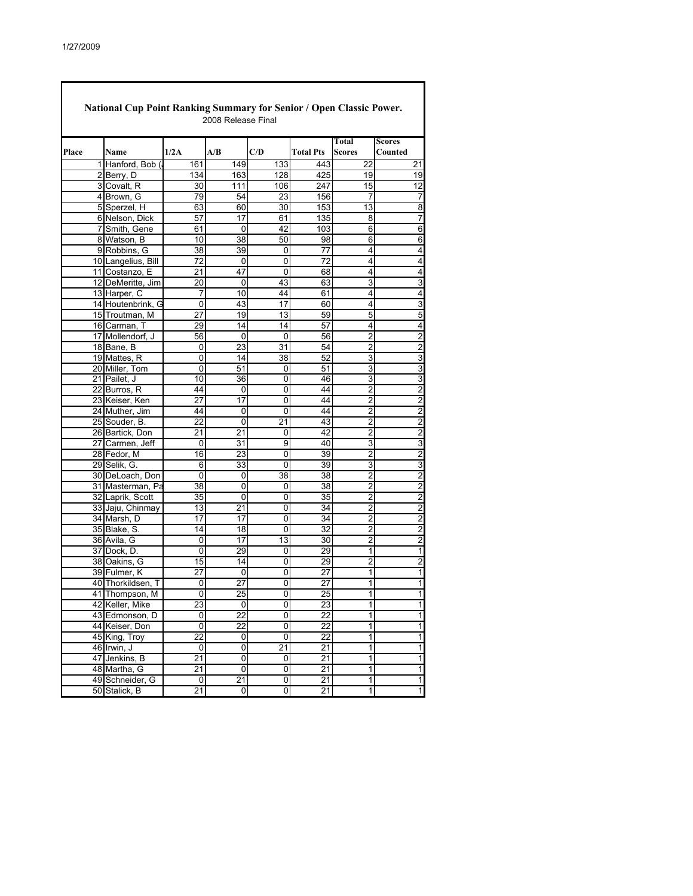**Place Name 1/2A A/B C/D Total Pts Total Scores Scores Counted** 1 | Hanford, Bob (, 161 | 149 | 133 | 1443 | 22 | 21 | 21 | 22 | 21 | 23 | 24 | 25 | 21 | 21 | 21 | 21 | 21 | 2<br>2 | Berry, D | 134 | 163 | 128 | 125 | 19 | 19 2 Berry, D 134 163 128 425 19 19<br>3 Covalt, R 30 111 106 247 15 12 3 Covalt, R | 30 111 106 247 4 Brown, G 79 79 54 23 156 7 7<br>5 Sperzel, H 63 60 30 153 13 5 Sperzel, H 6 Nelson, Dick | 57 | 17 | 61 | 135 | 8 | 7 7 Smith, Gene 61 0 42 103 6 6<br>8 Watson B 10 38 50 98 6 6 8 Watson, B 10 38 50 98 6 6 9 Robbins, G  $\begin{array}{|c|c|c|c|c|c|c|c|} \hline \text{9} & \text{Robbins, G} & \text{38} & \text{39} & \text{0} & \text{77} & \text{4} & \text{4} \ \hline \text{10} & \text{Langelius, Bill} & \text{72} & \text{0} & \text{0} & \text{72} & \text{4} & \text{4} \ \hline \end{array}$ 10 Langelius, Bill 11 Costanzo, E 21 47 0 68 4 4 12 DeMeritte, Jim 20 0 43 63 3 3<br>13 Harper, C 7 10 44 61 4 4 13 Harper, C 7 10 44 61 4 4 14 Houtenbrink, G 0 43 17 60 4 3 15 Troutman, M | 27 | 19 | 13 | 59 | 5 | 5 16 Carman, T 29 14 14 57 4 4<br>17 Mollendorf, J 56 0 0 56 2 2 17 Mollendorf, J 56 0 0 56 2 2 18 Bane, B 0 23 31 54 2 2 19 Mattes, R 0 14 38 52 3 3<br>20 Miller, Tom 0 51 0 51 3 20 Miller, Tom | 0 51 0 51 3 3 21 Pailet, J 10 36 0 46 22 Burros, R 44 0 0 44 2 2<br>23 Keiser Ken 27 17 0 44 2 2 23 Keiser, Ken | 27 17 0 44 2 2 24 Muther, Jim (1944 0 0 0 44 2)<br>25 Souder, B. (22 0 21 43 2) 25 Souder, B. 22 0 21 43 2 2 26 Bartick, Don 21 21 21 0 42 2 27 Carmen, Jeff 0 31 9 40 3 3<br>28 Fedor, M 1 16 23 0 39 2 2 28 Fedor, M 16 23 0 39 2 29 Selik, G. (1986) 6 33 0 39 39 30 DeLoach, Don 0 0 38 38 2 31 Masterman, Pa 38 0 0 38 2 2<br>32 Laprik, Scott 35 0 0 35 2 2 32 Laprik, Scott 35 0 0 35 2 33 Jaju, Chinmay | 13 21 0 34 2 34 Marsh, D 17 17 0 34 2 2<br>35 Blake, S. 14 18 0 32 2 2 35 Blake, S. 1 14 18 0 32 2 2 36 Avila, G 0 17 13 30 2 2 37 Dock, D. 0 29 0 29 1 1<br>38 Oakins, G 15 14 0 29 2 2 38 Oakins, G 15 14 0 29 2 2 39 Fulmer, K 27 0 0 27 1<br>40 Thorkildsen. T 0 27 0 27 1 40 Thorkildsen, T 0 27 0 27 1 41 Thompson, M 0 25 0 25 1 42 Keller, Mike 23 0 0 23 1 1<br>43 Edmonson, D 0 22 0 22 1 1 43 Edmonson, D 0 22 0 22 1 44 Keiser, Don | 0 22 0 22 1 45 King, Troy  $\begin{array}{|c|c|c|c|c|c|c|c|c|} \hline \end{array}$   $\begin{array}{|c|c|c|c|c|} \hline \text{O} & \text{O} & \text{O} & \text{22} & \text{1} \ \hline \end{array}$ 46 Irwin, J 0 0 21 21 1<br>47 Jenkins, B 21 0 0 21 1 47 Jenkins, B 21 0 0 21 1 18 Martha, G 21 0 0 21 1<br>19 Schneider, G 0 21 0 21 1 49 Schneider, G 0 21 0 21 1<br>50 Stalick, B 21 0 0 21 1 50 Stalick, B 2008 Release Final **National Cup Point Ranking Summary for Senior / Open Classic Power.**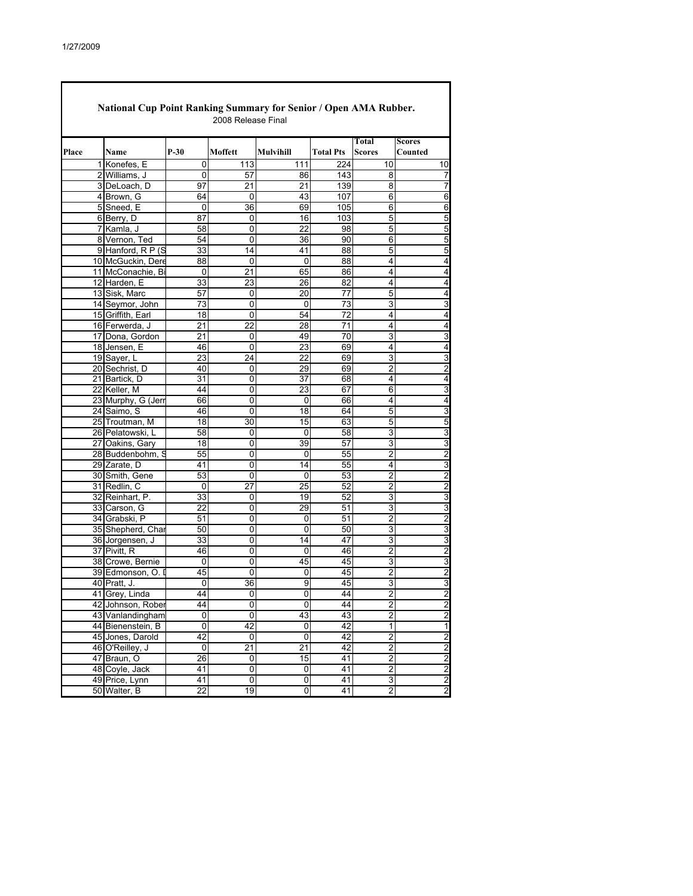|       |                    |                 |                |                 |                  | Total                   | Scores                  |
|-------|--------------------|-----------------|----------------|-----------------|------------------|-------------------------|-------------------------|
| Place | Name               | $P-30$          | Moffett        | Mulvihill       | <b>Total Pts</b> | <b>Scores</b>           | Counted                 |
|       | 1 Konefes, E       | 0               | 113            | 111             | 224              | 10                      | 10                      |
|       | 2 Williams, J      | 0               | 57             | 86              | 143              | 8                       | 7                       |
|       | 3 DeLoach, D       | 97              | 21             | 21              | 139              | 8                       | 7                       |
|       | 4 Brown, G         | 64              | 0              | 43              | 107              | 6                       | 6                       |
|       | 5 Sneed, E         | 0               | 36             | 69              | 105              | 6                       | 6                       |
|       | 6 Berry, D         | 87              | 0              | 16              | 103              | 5                       | 5                       |
|       | 7 Kamla, J         | 58              | 0              | $\overline{22}$ | 98               | 5                       | 5                       |
|       | 8 Vernon, Ted      | 54              | 0              | 36              | 90               | 6                       | 5                       |
|       | 9 Hanford, R P (S  | 33              | 14             | 41              | 88               | 5                       | 5                       |
|       | 10 McGuckin, Dere  | 88              | 0              | 0               | 88               | 4                       | 4                       |
|       | 11 McConachie, Bi  | $\mathbf 0$     | 21             | 65              | 86               | 4                       | 4                       |
|       | 12 Harden, E       | 33              | 23             | 26              | 82               | 4                       | 4                       |
|       | 13 Sisk, Marc      | 57              | 0              | 20              | $\overline{77}$  | $\overline{5}$          | 4                       |
|       | 14 Seymor, John    | 73              | 0              | 0               | 73               | 3                       | 3                       |
|       | 15 Griffith, Earl  | 18              | 0              | 54              | 72               | 4                       | 4                       |
|       | 16 Ferwerda, J     | 21              | 22             | 28              | 71               | 4                       | 4                       |
|       | 17 Dona, Gordon    | 21              | 0              | 49              | 70               | 3                       | 3                       |
|       | 18 Jensen, E       | 46              | 0              | 23              | 69               | 4                       | 4                       |
|       | 19 Saver, L        | 23              | 24             | $\overline{22}$ | 69               | 3                       | 3                       |
|       | 20 Sechrist, D     | 40              | 0              | 29              | 69               | 2                       | 2                       |
|       | 21 Bartick, D      | 31              | 0              | 37              | 68               | 4                       | 4                       |
|       | 22 Keller, M       | 44              | 0              | 23              | 67               | 6                       | 3                       |
|       | 23 Murphy, G (Jerr | 66              | 0              | 0               | 66               | 4                       | 4                       |
|       | 24 Saimo, S        | 46              | 0              | 18              | 64               | 5                       | 3                       |
|       | 25 Troutman, M     | $\overline{18}$ | 30             | 15              | 63               | $\overline{5}$          | 5                       |
|       | 26 Pelatowski, L   | 58              | 0              | 0               | 58               | 3                       | 3                       |
|       | 27 Oakins, Gary    | 18              | 0              | 39              | 57               | 3                       | 3                       |
|       | 28 Buddenbohm, S   | 55              | 0              | 0               | 55               | $\overline{2}$          | 2                       |
|       | 29 Zarate, D       | 41              | 0              | 14              | 55               | 4                       | 3                       |
|       | 30 Smith, Gene     | 53              | $\Omega$       | $\Omega$        | 53               | $\overline{2}$          | $\overline{2}$          |
|       | 31 Redlin, C       | 0               | 27             | 25              | 52               | $\overline{2}$          | $\overline{c}$          |
|       |                    |                 |                |                 | 52               |                         |                         |
|       | 32 Reinhart, P.    | 33              | 0              | 19              |                  | 3                       | 3                       |
|       | 33 Carson, G       | 22              | 0              | 29              | 51               | 3                       | 3                       |
|       | 34 Grabski, P      | 51              | 0              | 0<br>$\Omega$   | 51               | 2                       | 2                       |
|       | 35 Shepherd, Char  | 50              | 0              |                 | 50               | 3                       | 3                       |
|       | 36 Jorgensen, J    | 33              | 0              | 14              | 47               | 3<br>$\overline{2}$     | 3<br>$\overline{2}$     |
|       | 37 Pivitt, R       | 46              | 0              | 0               | 46               |                         |                         |
|       | 38 Crowe, Bernie   | 0               | 0              | 45              | 45               | 3                       | 3                       |
|       | 39 Edmonson, O.    | 45              | 0              | 0               | 45               | 2                       | 2                       |
|       | 40 Pratt, J.       | 0               | 36             | 9               | 45               | 3                       | 3                       |
|       | 41 Grey, Linda     | 44              | 0              | 0               | 44               | $\overline{\mathbf{c}}$ | $\overline{c}$          |
|       | 42 Johnson, Rober  | 44              |                |                 | 44               | 2                       | $\overline{c}$          |
|       | 43 Vanlandingham   | $\overline{0}$  | $\overline{0}$ | 43              | 43               | $\overline{2}$          | $\overline{2}$          |
|       | 44 Bienenstein, B  | $\overline{0}$  | 42             | 0               | 42               | 1                       | $\overline{1}$          |
|       | 45 Jones, Darold   | 42              | 0              | $\overline{0}$  | 42               | $\overline{2}$          | $\overline{\mathbf{c}}$ |
|       | 46 O'Reilley, J    | $\pmb{0}$       | 21             | 21              | 42               | $\overline{2}$          | $\overline{c}$          |
|       | 47 Braun, O        | 26              | 0              | 15              | 41               | $\overline{\mathbf{c}}$ | $\overline{2}$          |
|       | 48 Coyle, Jack     | 41              | 0              | 0               | 41               | $\overline{2}$          | $\overline{c}$          |
|       | 49 Price, Lynn     | 41              | 0              | $\overline{0}$  | 41               | 3                       | $\overline{2}$          |
|       | 50 Walter, B       | 22              | 19             | $\overline{0}$  | 41               | $\overline{2}$          | $\overline{2}$          |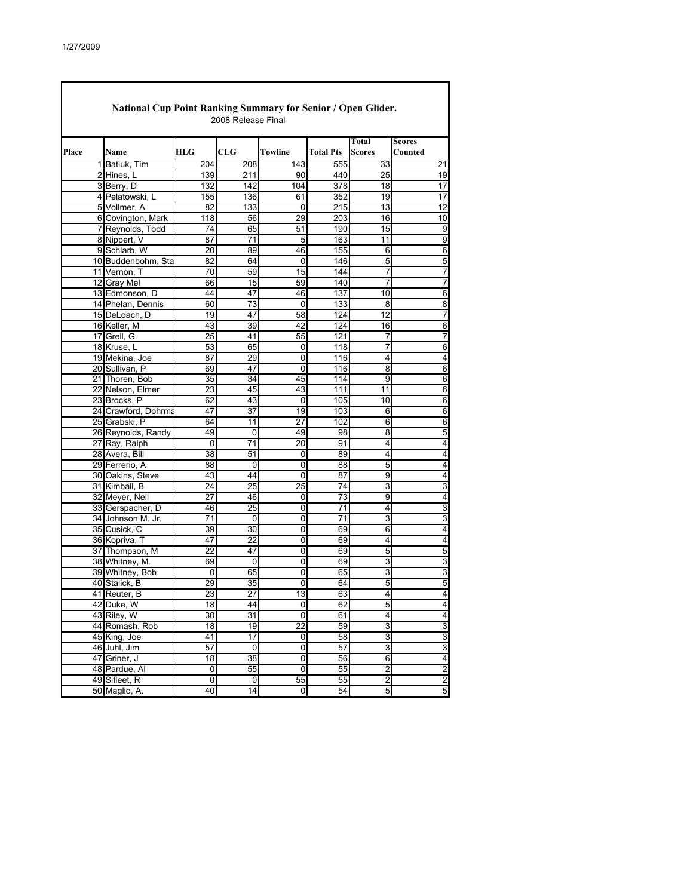| National Cup Point Ranking Summary for Senior / Open Glider.<br>2008 Release Final |                           |                 |                 |                 |                  |                 |                         |  |  |  |  |
|------------------------------------------------------------------------------------|---------------------------|-----------------|-----------------|-----------------|------------------|-----------------|-------------------------|--|--|--|--|
|                                                                                    |                           |                 |                 |                 |                  | Total           | <b>Scores</b>           |  |  |  |  |
| Place                                                                              | Name                      | HLG             | CLG             | Towline         | <b>Total Pts</b> | <b>Scores</b>   | Counted                 |  |  |  |  |
|                                                                                    | 1 Batiuk, Tim             | 204             | 208             | 143             | 555              | 33              | 21                      |  |  |  |  |
|                                                                                    | 2 Hines, L                | 139             | 211             | 90              | 440              | $\overline{25}$ | 19                      |  |  |  |  |
|                                                                                    | 3 Berry, D                | 132             | 142             | 104             | $\overline{378}$ | 18              | $\overline{17}$         |  |  |  |  |
|                                                                                    | 4 Pelatowski, L           | 155             | 136             | 61              | 352              | 19              | 17                      |  |  |  |  |
|                                                                                    | 5 Vollmer, A              | 82              | 133             | 0               | $\overline{215}$ | 13              | $\overline{12}$         |  |  |  |  |
|                                                                                    | 6 Covington, Mark         | 118             | 56              | 29              | 203              | 16              | 10                      |  |  |  |  |
|                                                                                    | 7 Reynolds, Todd          | 74              | 65              | 51              | 190              | 15              | 9                       |  |  |  |  |
|                                                                                    | 8 Nippert, V              | 87              | 71              | 5               | 163              | 11              | $\overline{9}$          |  |  |  |  |
|                                                                                    | 9 Schlarb, W              | 20              | 89              | 46              | 155              | 6               | 6                       |  |  |  |  |
|                                                                                    | 10 Buddenbohm, Sta        | 82              | 64              | 0               | 146              | 5               | 5                       |  |  |  |  |
|                                                                                    | 11 Vernon, T              | 70              | 59              | 15              | 144              | 7               | $\overline{7}$          |  |  |  |  |
|                                                                                    | 12 Gray Mel               | 66              | 15              | 59              | 140              | 7               | $\overline{7}$          |  |  |  |  |
|                                                                                    | 13 Edmonson, D            | 44              | 47              | 46              | 137              | 10              | 6                       |  |  |  |  |
|                                                                                    | 14 Phelan, Dennis         | 60              | 73              | $\mathbf 0$     | 133              | $\overline{8}$  | 8                       |  |  |  |  |
|                                                                                    | 15 DeLoach, D             | 19              | 47              | 58              | 124              | $\overline{12}$ | 7                       |  |  |  |  |
|                                                                                    | 16 Keller, M              | 43              | 39              | 42              | 124              | 16              | 6                       |  |  |  |  |
|                                                                                    | 17 Grell, G               | $\overline{25}$ | 41              | 55              | 121              | 7               | $\overline{7}$          |  |  |  |  |
|                                                                                    | 18 Kruse, L               | 53              | 65              | 0               | 118              | 7               | 6                       |  |  |  |  |
|                                                                                    | 19 Mekina, Joe            | 87              | 29              | 0               | 116              | 4               | 4                       |  |  |  |  |
|                                                                                    | 20 Sullivan, P            | 69              | 47              | 0               | 116              | 8               | 6                       |  |  |  |  |
|                                                                                    | 21 Thoren, Bob            | 35              | 34              | 45              | 114              | 9               | 6                       |  |  |  |  |
|                                                                                    | 22 Nelson, Elmer          | 23              | 45              | 43              | 111              | 11              | 6                       |  |  |  |  |
|                                                                                    | 23 Brocks, P              | 62              | 43              | 0               | 105              | 10              | $\overline{6}$          |  |  |  |  |
|                                                                                    | 24 Crawford, Dohrma       | 47              | $\overline{37}$ | 19              | 103              | 6               | 6                       |  |  |  |  |
|                                                                                    | 25 Grabski, P             | 64              | 11              | 27              | 102              | 6               | 6                       |  |  |  |  |
|                                                                                    | 26 Reynolds, Randy        | 49              | 0               | 49              | 98               | 8               | 5                       |  |  |  |  |
|                                                                                    | 27 Ray, Ralph             | 0               | 71              | 20              | 91               | 4               | 4                       |  |  |  |  |
|                                                                                    | 28 Avera, Bill            | 38              | 51              | 0               | 89               | 4               | 4                       |  |  |  |  |
|                                                                                    | 29 Ferrerio, A            | 88              | 0               | 0               | 88               | 5               | 4                       |  |  |  |  |
|                                                                                    | 30 Oakins, Steve          | 43              | 44              | 0               | 87               | 9               | 4                       |  |  |  |  |
|                                                                                    | 31 Kimball, B             | 24              | 25              | 25              | 74               | 3               | 3                       |  |  |  |  |
|                                                                                    | 32 Meyer, Neil            | 27              | 46              | 0               | $\overline{73}$  | $\overline{9}$  | 4                       |  |  |  |  |
|                                                                                    | 33 Gerspacher, D          | 46              | 25              | 0               | 71               | 4               | 3                       |  |  |  |  |
|                                                                                    | 34 Johnson M. Jr.         | 71              | 0               | 0               | 71               | 3               | 3                       |  |  |  |  |
|                                                                                    | 35 Cusick, C              | 39              | 30              | 0               | 69               | $\overline{6}$  | 4                       |  |  |  |  |
|                                                                                    | 36 Kopriva, T             | 47              | $\overline{22}$ | 0               | 69               | 4               | 4                       |  |  |  |  |
|                                                                                    | 37 Thompson, M            | 22              | 47              | 0               | 69               | 5               | 5                       |  |  |  |  |
|                                                                                    | 38 Whitney, M.            | 69              | 0               | 0               | 69               | 3               | 3                       |  |  |  |  |
|                                                                                    | 39 Whitney, Bob           | 0               | 65              | 0               | 65               | 3               | $\overline{3}$          |  |  |  |  |
|                                                                                    | 40 Stalick, B             | 29              | 35              | 0               | 64               | 5               | 5                       |  |  |  |  |
|                                                                                    | 41 Reuter, B              | 23              | $\overline{27}$ | $\overline{13}$ | 63               | 4               | 4                       |  |  |  |  |
|                                                                                    |                           |                 | 44              | 0               | 62               |                 |                         |  |  |  |  |
|                                                                                    | 42 Duke, W<br>43 Riley, W | 18<br>30        | 31              | $\Omega$        | 61               | 5<br>4          | 4<br>4                  |  |  |  |  |
|                                                                                    | 44 Romash, Rob            | 18              | 19              | $\overline{22}$ | 59               | 3               | 3                       |  |  |  |  |
|                                                                                    | 45 King, Joe              | 41              | 17              |                 | 58               | 3               | $\overline{3}$          |  |  |  |  |
|                                                                                    | 46 Juhl, Jim              | 57              | 0               | 0<br>0          | 57               | 3               | $\overline{3}$          |  |  |  |  |
|                                                                                    |                           |                 |                 |                 |                  |                 |                         |  |  |  |  |
|                                                                                    | 47 Griner, J              | 18              | 38              | 0               | 56               | 6               | $\overline{\mathbf{4}}$ |  |  |  |  |
|                                                                                    | 48 Pardue, Al             | 0               | 55              | 0               | 55               | $\overline{2}$  | $\overline{2}$          |  |  |  |  |
|                                                                                    | 49 Sifleet, R             | 0               | 0               | 55              | 55               | 2               | $\overline{c}$          |  |  |  |  |
|                                                                                    | 50 Maglio, A.             | 40              | $\overline{14}$ | 0               | 54               | 5               | 5                       |  |  |  |  |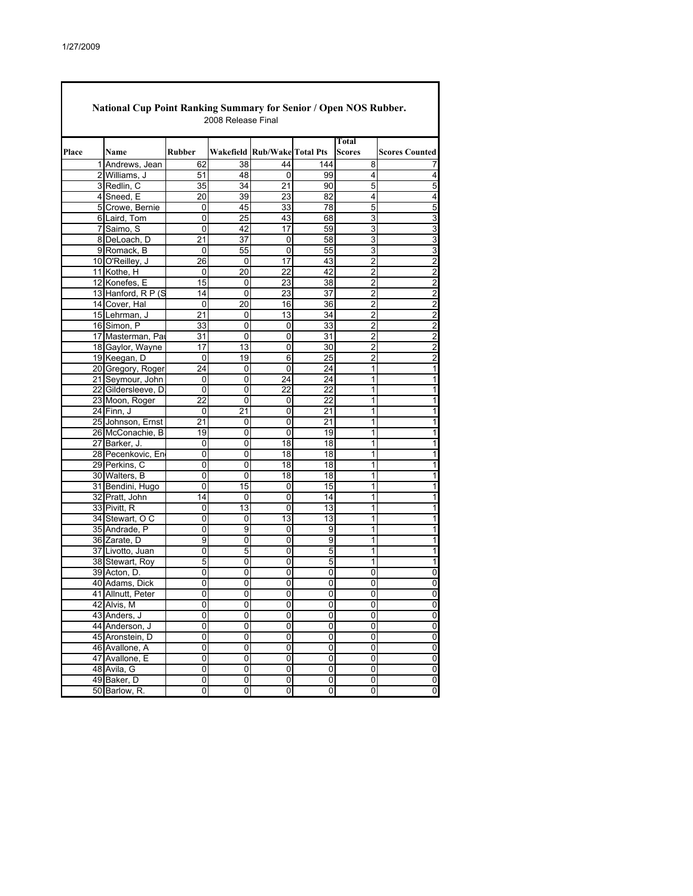| National Cup Point Ranking Summary for Senior / Open NOS Rubber.<br>2008 Release Final |                    |                |                |                              |                 |                         |                             |  |  |  |
|----------------------------------------------------------------------------------------|--------------------|----------------|----------------|------------------------------|-----------------|-------------------------|-----------------------------|--|--|--|
| Place                                                                                  | Name               | <b>Rubber</b>  |                | Wakefield Rub/Wake Total Pts |                 | Total<br><b>Scores</b>  | <b>Scores Counted</b>       |  |  |  |
|                                                                                        | 1 Andrews, Jean    | 62             | 38             | 44                           | 144             | 8                       |                             |  |  |  |
|                                                                                        | 2 Williams, J      | 51             | 48             | $\mathbf 0$                  | 99              | 4                       | 4                           |  |  |  |
|                                                                                        | 3 Redlin, C        | 35             | 34             | 21                           | 90              | 5                       | 5                           |  |  |  |
|                                                                                        | 4 Sneed, E         | 20             | 39             | 23                           | 82              | 4                       | 4                           |  |  |  |
|                                                                                        | 5 Crowe, Bernie    | 0              | 45             | 33                           | 78              | 5                       | 5                           |  |  |  |
|                                                                                        | 6 Laird, Tom       | 0              | 25             | 43                           | 68              | 3                       | $\overline{3}$              |  |  |  |
|                                                                                        | 7 Saimo, S         | $\Omega$       | 42             | 17                           | 59              | 3                       | 3                           |  |  |  |
|                                                                                        | 8 DeLoach, D       | 21             | 37             | 0                            | 58              | 3                       |                             |  |  |  |
|                                                                                        | 9 Romack, B        | 0              | 55             | 0                            | 55              | 3                       | $\frac{3}{3}$               |  |  |  |
|                                                                                        | 10 O'Reilley, J    | 26             | 0              | 17                           | 43              | 2                       |                             |  |  |  |
|                                                                                        | 11 Kothe, H        | 0              | 20             | 22                           | 42              | $\overline{\mathbf{c}}$ |                             |  |  |  |
|                                                                                        | 12 Konefes, E      | 15             | 0              | 23                           | 38              | $\overline{2}$          |                             |  |  |  |
|                                                                                        | 13 Hanford, R P (S | 14             | 0              | 23                           | 37              | 2                       | $\frac{2}{2}$ $\frac{2}{2}$ |  |  |  |
|                                                                                        | 14 Cover, Hal      | $\mathbf 0$    | 20             | 16                           | 36              | $\overline{2}$          |                             |  |  |  |
|                                                                                        | 15 Lehrman, J      | 21             | 0              | 13                           | 34              | $\overline{2}$          | $\frac{2}{2}$ $\frac{2}{2}$ |  |  |  |
|                                                                                        | 16 Simon, P        | 33             | 0              | 0                            | 33              | 2                       |                             |  |  |  |
|                                                                                        | 17 Masterman, Par  | 31             | 0              | $\overline{0}$               | 31              | $\overline{2}$          |                             |  |  |  |
|                                                                                        | 18 Gaylor, Wayne   | 17             | 13             | 0                            | 30              | 2                       |                             |  |  |  |
|                                                                                        | 19 Keegan, D       | 0              | 19             | 6                            | 25              | $\overline{2}$          | $\overline{\mathbf{c}}$     |  |  |  |
|                                                                                        | 20 Gregory, Roger  | 24             | 0              | $\overline{0}$               | $\overline{24}$ | 1                       | 1                           |  |  |  |
|                                                                                        | 21 Seymour, John   | 0              | 0              | 24                           | 24              | 1                       | $\overline{\mathbf{1}}$     |  |  |  |
|                                                                                        | 22 Gildersleeve, D | 0              | 0              | 22                           | 22              | 1                       | $\overline{\mathbf{1}}$     |  |  |  |
|                                                                                        | 23 Moon, Roger     | 22             | 0              | 0                            | 22              | 1                       | $\overline{1}$              |  |  |  |
|                                                                                        | 24 Finn, J         | 0              | 21             | $\overline{0}$               | 21              | 1                       | 1                           |  |  |  |
|                                                                                        | 25 Johnson, Ernst  | 21             | 0              | 0                            | 21              | 1                       | $\overline{1}$              |  |  |  |
|                                                                                        | 26 McConachie, B   | 19             | 0              | $\overline{0}$               | 19              | 1                       | 1                           |  |  |  |
|                                                                                        | 27 Barker, J.      | 0              | 0              | 18                           | 18              | 1                       | $\overline{1}$              |  |  |  |
|                                                                                        | 28 Pecenkovic, En  | 0              | 0              | 18                           | 18              | 1                       | $\overline{\mathbf{1}}$     |  |  |  |
|                                                                                        | 29 Perkins, C      | 0              | $\overline{0}$ | 18                           | $\overline{18}$ | 1                       | $\overline{1}$              |  |  |  |
|                                                                                        | 30 Walters, B      | 0              | 0              | 18                           | 18              | 1                       | 1                           |  |  |  |
|                                                                                        | 31 Bendini, Hugo   | 0              | 15             | 0                            | 15              | 1                       | 1                           |  |  |  |
|                                                                                        | 32 Pratt, John     | 14             | 0              | $\overline{0}$               | 14              | 1                       | 1                           |  |  |  |
|                                                                                        | 33 Pivitt, R       | 0              | 13             | 0                            | 13              | 1                       | $\overline{\mathbf{1}}$     |  |  |  |
|                                                                                        | 34 Stewart, OC     | 0              | 0              | 13                           | 13              | 1                       | $\overline{\mathbf{1}}$     |  |  |  |
|                                                                                        | 35 Andrade, P      | 0              | 9              | 0                            | 9               | 1                       | 1                           |  |  |  |
|                                                                                        | 36 Zarate, D       | 9              | 0              | 0                            | 9               | 1                       | 1                           |  |  |  |
|                                                                                        | 37 Livotto, Juan   | 0              | 5              | 0                            | 5               | 1                       | $\overline{\mathbf{1}}$     |  |  |  |
|                                                                                        | 38 Stewart, Roy    | 5              | 0              | $\overline{0}$               | 5               | 1                       | 1                           |  |  |  |
|                                                                                        | 39 Acton, D.       | 0              | 0              | 0                            | 0               | 0                       | 0                           |  |  |  |
|                                                                                        | 40 Adams, Dick     | 0              | 0              | 0                            | 0               | 0                       | $\overline{0}$              |  |  |  |
|                                                                                        | 41 Allnutt, Peter  | 0              | 0              | 0                            | 0               | 0                       | $\overline{0}$              |  |  |  |
|                                                                                        | 42 Alvis, M        | 0              | 0              | 0                            | 0               | 0                       | $\overline{0}$              |  |  |  |
|                                                                                        | 43 Anders, J       | 0              | 0              | 0                            | 0               | 0                       | $\overline{\mathbf{0}}$     |  |  |  |
|                                                                                        | 44 Anderson, J     | $\overline{0}$ | $\overline{0}$ | $\overline{0}$               | $\overline{0}$  | $\overline{0}$          | $\overline{0}$              |  |  |  |
|                                                                                        | 45 Aronstein, D    | 0              | 0              | $\overline{0}$               | $\overline{0}$  | $\overline{0}$          |                             |  |  |  |
|                                                                                        | 46 Avallone, A     | 0              | $\overline{0}$ | $\overline{0}$               | $\overline{0}$  | 0                       |                             |  |  |  |
|                                                                                        | 47 Avallone, E     | 0              | 0              | 0                            | 0               | $\overline{0}$          | $\circ$ $\circ$             |  |  |  |
|                                                                                        | 48 Avila, G        | 0              | $\overline{0}$ | $\overline{0}$               | $\overline{0}$  | $\overline{0}$          |                             |  |  |  |
|                                                                                        | 49 Baker, D        | 0              | 0              | 0                            | 0               | 0                       | $\pmb{0}$                   |  |  |  |
|                                                                                        | 50 Barlow, R.      | 0              | 0              | 0                            | 0               | 0                       | $\overline{\mathbf{0}}$     |  |  |  |